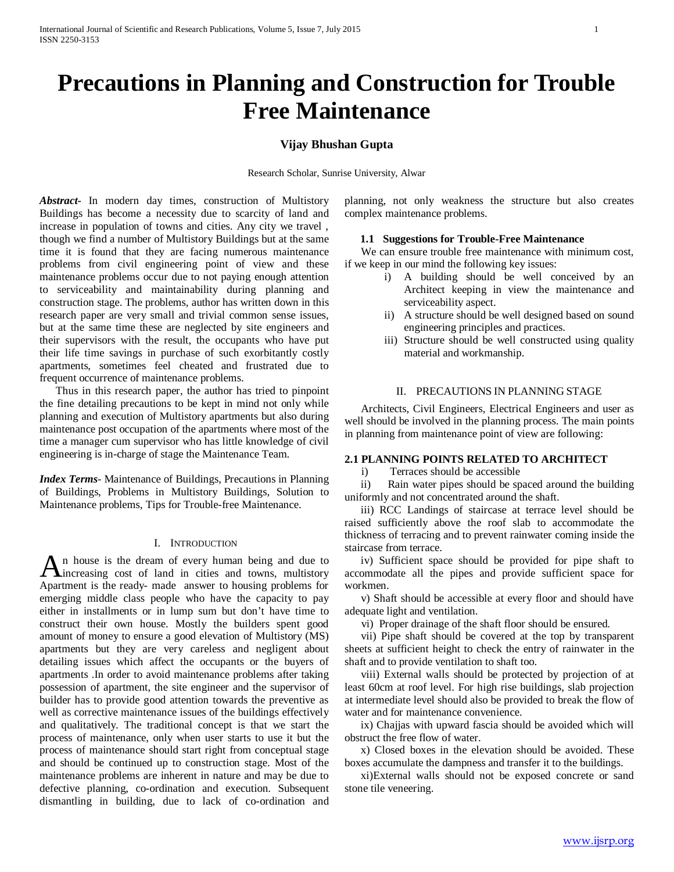# **Precautions in Planning and Construction for Trouble Free Maintenance**

# **Vijay Bhushan Gupta**

Research Scholar, Sunrise University, Alwar

*Abstract***-** In modern day times, construction of Multistory Buildings has become a necessity due to scarcity of land and increase in population of towns and cities. Any city we travel , though we find a number of Multistory Buildings but at the same time it is found that they are facing numerous maintenance problems from civil engineering point of view and these maintenance problems occur due to not paying enough attention to serviceability and maintainability during planning and construction stage. The problems, author has written down in this research paper are very small and trivial common sense issues, but at the same time these are neglected by site engineers and their supervisors with the result, the occupants who have put their life time savings in purchase of such exorbitantly costly apartments, sometimes feel cheated and frustrated due to frequent occurrence of maintenance problems.

 Thus in this research paper, the author has tried to pinpoint the fine detailing precautions to be kept in mind not only while planning and execution of Multistory apartments but also during maintenance post occupation of the apartments where most of the time a manager cum supervisor who has little knowledge of civil engineering is in-charge of stage the Maintenance Team.

*Index Terms*- Maintenance of Buildings, Precautions in Planning of Buildings, Problems in Multistory Buildings, Solution to Maintenance problems, Tips for Trouble-free Maintenance.

# I. INTRODUCTION

n house is the dream of every human being and due to An house is the dream of every human being and due to increasing cost of land in cities and towns, multistory Apartment is the ready- made answer to housing problems for emerging middle class people who have the capacity to pay either in installments or in lump sum but don't have time to construct their own house. Mostly the builders spent good amount of money to ensure a good elevation of Multistory (MS) apartments but they are very careless and negligent about detailing issues which affect the occupants or the buyers of apartments .In order to avoid maintenance problems after taking possession of apartment, the site engineer and the supervisor of builder has to provide good attention towards the preventive as well as corrective maintenance issues of the buildings effectively and qualitatively. The traditional concept is that we start the process of maintenance, only when user starts to use it but the process of maintenance should start right from conceptual stage and should be continued up to construction stage. Most of the maintenance problems are inherent in nature and may be due to defective planning, co-ordination and execution. Subsequent dismantling in building, due to lack of co-ordination and

planning, not only weakness the structure but also creates complex maintenance problems.

# **1.1 Suggestions for Trouble-Free Maintenance**

 We can ensure trouble free maintenance with minimum cost, if we keep in our mind the following key issues:

- i) A building should be well conceived by an Architect keeping in view the maintenance and serviceability aspect.
- ii) A structure should be well designed based on sound engineering principles and practices.
- iii) Structure should be well constructed using quality material and workmanship.

#### II. PRECAUTIONS IN PLANNING STAGE

 Architects, Civil Engineers, Electrical Engineers and user as well should be involved in the planning process. The main points in planning from maintenance point of view are following:

# **2.1 PLANNING POINTS RELATED TO ARCHITECT**

i) Terraces should be accessible

 ii) Rain water pipes should be spaced around the building uniformly and not concentrated around the shaft.

 iii) RCC Landings of staircase at terrace level should be raised sufficiently above the roof slab to accommodate the thickness of terracing and to prevent rainwater coming inside the staircase from terrace.

 iv) Sufficient space should be provided for pipe shaft to accommodate all the pipes and provide sufficient space for workmen.

 v) Shaft should be accessible at every floor and should have adequate light and ventilation.

vi) Proper drainage of the shaft floor should be ensured.

 vii) Pipe shaft should be covered at the top by transparent sheets at sufficient height to check the entry of rainwater in the shaft and to provide ventilation to shaft too.

 viii) External walls should be protected by projection of at least 60cm at roof level. For high rise buildings, slab projection at intermediate level should also be provided to break the flow of water and for maintenance convenience.

 ix) Chajjas with upward fascia should be avoided which will obstruct the free flow of water.

 x) Closed boxes in the elevation should be avoided. These boxes accumulate the dampness and transfer it to the buildings.

 xi)External walls should not be exposed concrete or sand stone tile veneering.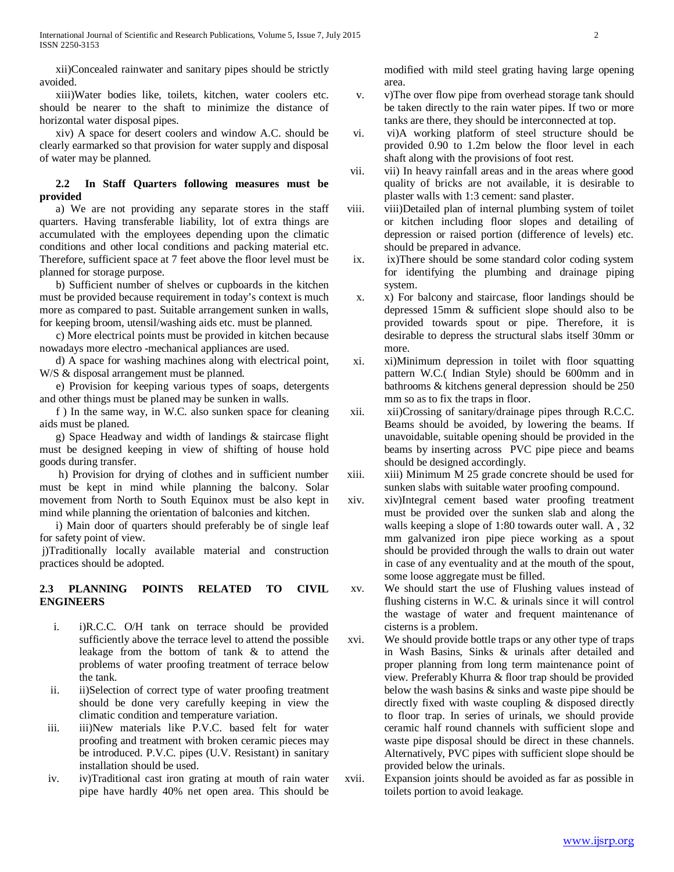xii)Concealed rainwater and sanitary pipes should be strictly avoided.

 xiii)Water bodies like, toilets, kitchen, water coolers etc. should be nearer to the shaft to minimize the distance of horizontal water disposal pipes.

 xiv) A space for desert coolers and window A.C. should be clearly earmarked so that provision for water supply and disposal of water may be planned.

# **2.2 In Staff Quarters following measures must be provided**

 a) We are not providing any separate stores in the staff quarters. Having transferable liability, lot of extra things are accumulated with the employees depending upon the climatic conditions and other local conditions and packing material etc. Therefore, sufficient space at 7 feet above the floor level must be planned for storage purpose.

 b) Sufficient number of shelves or cupboards in the kitchen must be provided because requirement in today's context is much more as compared to past. Suitable arrangement sunken in walls, for keeping broom, utensil/washing aids etc. must be planned.

 c) More electrical points must be provided in kitchen because nowadays more electro -mechanical appliances are used.

 d) A space for washing machines along with electrical point, W/S & disposal arrangement must be planned.

 e) Provision for keeping various types of soaps, detergents and other things must be planed may be sunken in walls.

 f ) In the same way, in W.C. also sunken space for cleaning aids must be planed.

 g) Space Headway and width of landings & staircase flight must be designed keeping in view of shifting of house hold goods during transfer.

 h) Provision for drying of clothes and in sufficient number must be kept in mind while planning the balcony. Solar movement from North to South Equinox must be also kept in mind while planning the orientation of balconies and kitchen.

 i) Main door of quarters should preferably be of single leaf for safety point of view.

j)Traditionally locally available material and construction practices should be adopted.

# **2.3 PLANNING POINTS RELATED TO CIVIL ENGINEERS**

- i. i)R.C.C. O/H tank on terrace should be provided sufficiently above the terrace level to attend the possible leakage from the bottom of tank & to attend the problems of water proofing treatment of terrace below the tank.
- ii. ii)Selection of correct type of water proofing treatment should be done very carefully keeping in view the climatic condition and temperature variation.
- iii. iii)New materials like P.V.C. based felt for water proofing and treatment with broken ceramic pieces may be introduced. P.V.C. pipes (U.V. Resistant) in sanitary installation should be used.
- iv. iv)Traditional cast iron grating at mouth of rain water pipe have hardly 40% net open area. This should be

modified with mild steel grating having large opening area.

- v. v)The over flow pipe from overhead storage tank should be taken directly to the rain water pipes. If two or more tanks are there, they should be interconnected at top.
- vi. vi)A working platform of steel structure should be provided 0.90 to 1.2m below the floor level in each shaft along with the provisions of foot rest.
- vii. vii) In heavy rainfall areas and in the areas where good quality of bricks are not available, it is desirable to plaster walls with 1:3 cement: sand plaster.
- viii. viii)Detailed plan of internal plumbing system of toilet or kitchen including floor slopes and detailing of depression or raised portion (difference of levels) etc. should be prepared in advance.
- ix. ix)There should be some standard color coding system for identifying the plumbing and drainage piping system.
- x. x) For balcony and staircase, floor landings should be depressed 15mm & sufficient slope should also to be provided towards spout or pipe. Therefore, it is desirable to depress the structural slabs itself 30mm or more.
- xi. xi)Minimum depression in toilet with floor squatting pattern W.C.( Indian Style) should be 600mm and in bathrooms & kitchens general depression should be 250 mm so as to fix the traps in floor.
- xii. xii)Crossing of sanitary/drainage pipes through R.C.C. Beams should be avoided, by lowering the beams. If unavoidable, suitable opening should be provided in the beams by inserting across PVC pipe piece and beams should be designed accordingly.
- xiii. xiii) Minimum M 25 grade concrete should be used for sunken slabs with suitable water proofing compound.
- xiv. xiv)Integral cement based water proofing treatment must be provided over the sunken slab and along the walls keeping a slope of 1:80 towards outer wall. A , 32 mm galvanized iron pipe piece working as a spout should be provided through the walls to drain out water in case of any eventuality and at the mouth of the spout, some loose aggregate must be filled.
- xv. We should start the use of Flushing values instead of flushing cisterns in W.C. & urinals since it will control the wastage of water and frequent maintenance of cisterns is a problem.
- xvi. We should provide bottle traps or any other type of traps in Wash Basins, Sinks & urinals after detailed and proper planning from long term maintenance point of view. Preferably Khurra & floor trap should be provided below the wash basins & sinks and waste pipe should be directly fixed with waste coupling & disposed directly to floor trap. In series of urinals, we should provide ceramic half round channels with sufficient slope and waste pipe disposal should be direct in these channels. Alternatively, PVC pipes with sufficient slope should be provided below the urinals.
- xvii. Expansion joints should be avoided as far as possible in toilets portion to avoid leakage.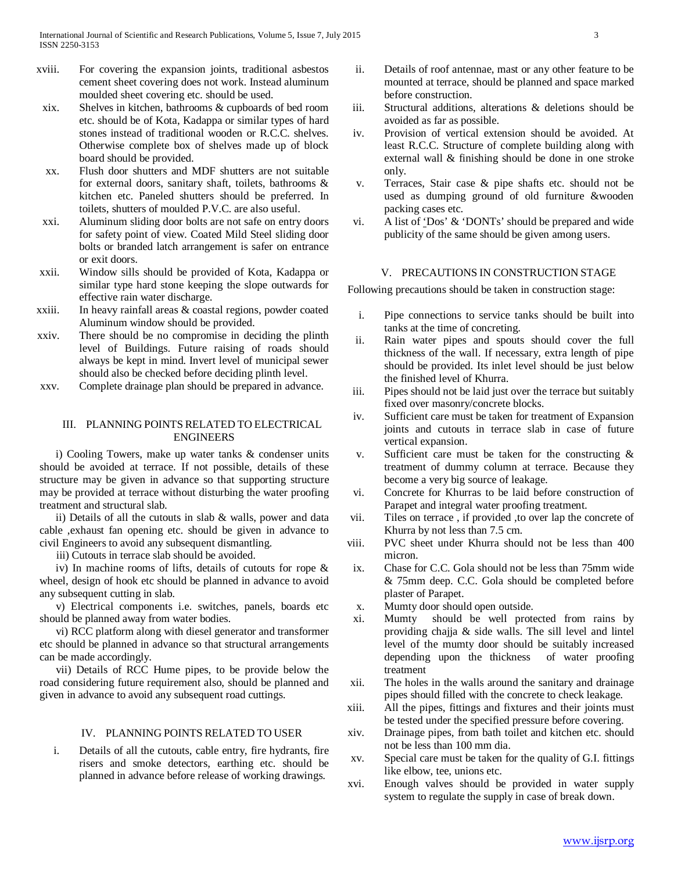- xviii. For covering the expansion joints, traditional asbestos cement sheet covering does not work. Instead aluminum moulded sheet covering etc. should be used.
- xix. Shelves in kitchen, bathrooms & cupboards of bed room etc. should be of Kota, Kadappa or similar types of hard stones instead of traditional wooden or R.C.C. shelves. Otherwise complete box of shelves made up of block board should be provided.
- xx. Flush door shutters and MDF shutters are not suitable for external doors, sanitary shaft, toilets, bathrooms & kitchen etc. Paneled shutters should be preferred. In toilets, shutters of moulded P.V.C. are also useful.
- xxi. Aluminum sliding door bolts are not safe on entry doors for safety point of view. Coated Mild Steel sliding door bolts or branded latch arrangement is safer on entrance or exit doors.
- xxii. Window sills should be provided of Kota, Kadappa or similar type hard stone keeping the slope outwards for effective rain water discharge.
- xxiii. In heavy rainfall areas & coastal regions, powder coated Aluminum window should be provided.
- xxiv. There should be no compromise in deciding the plinth level of Buildings. Future raising of roads should always be kept in mind. Invert level of municipal sewer should also be checked before deciding plinth level.
- xxv. Complete drainage plan should be prepared in advance.

## III. PLANNING POINTS RELATED TO ELECTRICAL ENGINEERS

 i) Cooling Towers, make up water tanks & condenser units should be avoided at terrace. If not possible, details of these structure may be given in advance so that supporting structure may be provided at terrace without disturbing the water proofing treatment and structural slab.

 ii) Details of all the cutouts in slab & walls, power and data cable ,exhaust fan opening etc. should be given in advance to civil Engineers to avoid any subsequent dismantling.

iii) Cutouts in terrace slab should be avoided.

 iv) In machine rooms of lifts, details of cutouts for rope & wheel, design of hook etc should be planned in advance to avoid any subsequent cutting in slab.

 v) Electrical components i.e. switches, panels, boards etc should be planned away from water bodies.

 vi) RCC platform along with diesel generator and transformer etc should be planned in advance so that structural arrangements can be made accordingly.

 vii) Details of RCC Hume pipes, to be provide below the road considering future requirement also, should be planned and given in advance to avoid any subsequent road cuttings.

# IV. PLANNING POINTS RELATED TO USER

i. Details of all the cutouts, cable entry, fire hydrants, fire risers and smoke detectors, earthing etc. should be planned in advance before release of working drawings.

- ii. Details of roof antennae, mast or any other feature to be mounted at terrace, should be planned and space marked before construction.
- iii. Structural additions, alterations & deletions should be avoided as far as possible.
- iv. Provision of vertical extension should be avoided. At least R.C.C. Structure of complete building along with external wall & finishing should be done in one stroke only.
- v. Terraces, Stair case & pipe shafts etc. should not be used as dumping ground of old furniture &wooden packing cases etc.
- vi. A list of 'Dos' & 'DONTs' should be prepared and wide publicity of the same should be given among users.

## V. PRECAUTIONS IN CONSTRUCTION STAGE

Following precautions should be taken in construction stage:

- i. Pipe connections to service tanks should be built into tanks at the time of concreting.
- ii. Rain water pipes and spouts should cover the full thickness of the wall. If necessary, extra length of pipe should be provided. Its inlet level should be just below the finished level of Khurra.
- iii. Pipes should not be laid just over the terrace but suitably fixed over masonry/concrete blocks.
- iv. Sufficient care must be taken for treatment of Expansion joints and cutouts in terrace slab in case of future vertical expansion.
- v. Sufficient care must be taken for the constructing & treatment of dummy column at terrace. Because they become a very big source of leakage.
- vi. Concrete for Khurras to be laid before construction of Parapet and integral water proofing treatment.
- vii. Tiles on terrace , if provided ,to over lap the concrete of Khurra by not less than 7.5 cm.
- viii. PVC sheet under Khurra should not be less than 400 micron.
- ix. Chase for C.C. Gola should not be less than 75mm wide & 75mm deep. C.C. Gola should be completed before plaster of Parapet.
- x. Mumty door should open outside.
- xi. Mumty should be well protected from rains by providing chajja & side walls. The sill level and lintel level of the mumty door should be suitably increased depending upon the thickness of water proofing treatment
- xii. The holes in the walls around the sanitary and drainage pipes should filled with the concrete to check leakage.
- xiii. All the pipes, fittings and fixtures and their joints must be tested under the specified pressure before covering.
- xiv. Drainage pipes, from bath toilet and kitchen etc. should not be less than 100 mm dia.
- xv. Special care must be taken for the quality of G.I. fittings like elbow, tee, unions etc.
- xvi. Enough valves should be provided in water supply system to regulate the supply in case of break down.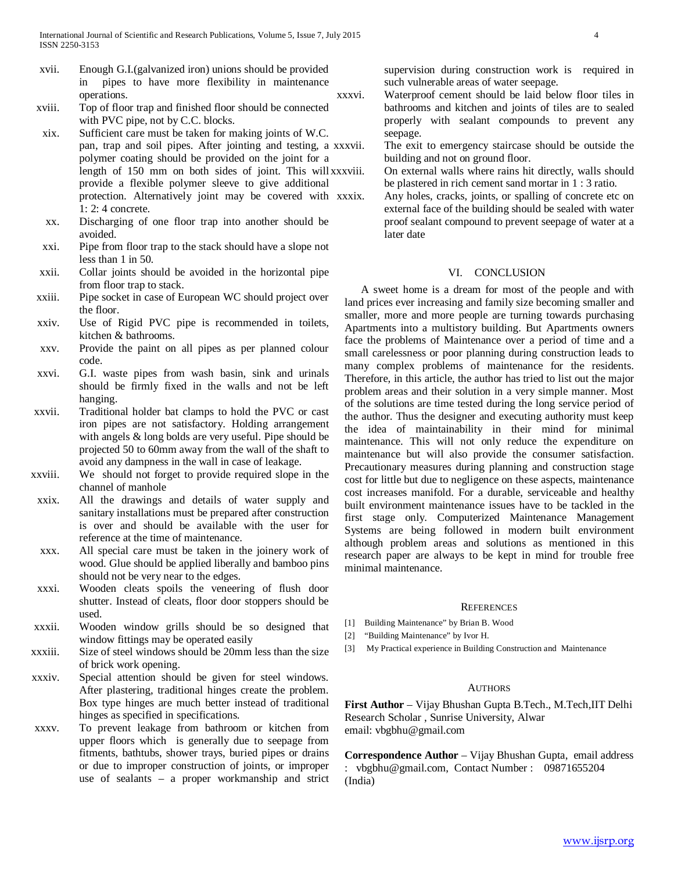- xvii. Enough G.I.(galvanized iron) unions should be provided in pipes to have more flexibility in maintenance operations.
- xviii. Top of floor trap and finished floor should be connected with PVC pipe, not by C.C. blocks.
- xix. Sufficient care must be taken for making joints of W.C. pan, trap and soil pipes. After jointing and testing, a polymer coating should be provided on the joint for a length of 150 mm on both sides of joint. This will xxxviii. provide a flexible polymer sleeve to give additional protection. Alternatively joint may be covered with xxxix. 1: 2: 4 concrete.
- xx. Discharging of one floor trap into another should be avoided.
- xxi. Pipe from floor trap to the stack should have a slope not less than 1 in 50.
- xxii. Collar joints should be avoided in the horizontal pipe from floor trap to stack.
- xxiii. Pipe socket in case of European WC should project over the floor.
- xxiv. Use of Rigid PVC pipe is recommended in toilets, kitchen & bathrooms.
- xxv. Provide the paint on all pipes as per planned colour code.
- xxvi. G.I. waste pipes from wash basin, sink and urinals should be firmly fixed in the walls and not be left hanging.
- xxvii. Traditional holder bat clamps to hold the PVC or cast iron pipes are not satisfactory. Holding arrangement with angels & long bolds are very useful. Pipe should be projected 50 to 60mm away from the wall of the shaft to avoid any dampness in the wall in case of leakage.
- xxviii. We should not forget to provide required slope in the channel of manhole
- xxix. All the drawings and details of water supply and sanitary installations must be prepared after construction is over and should be available with the user for reference at the time of maintenance.
- xxx. All special care must be taken in the joinery work of wood. Glue should be applied liberally and bamboo pins should not be very near to the edges.
- xxxi. Wooden cleats spoils the veneering of flush door shutter. Instead of cleats, floor door stoppers should be used.
- xxxii. Wooden window grills should be so designed that window fittings may be operated easily
- xxxiii. Size of steel windows should be 20mm less than the size of brick work opening.
- xxxiv. Special attention should be given for steel windows. After plastering, traditional hinges create the problem. Box type hinges are much better instead of traditional hinges as specified in specifications.
- xxxv. To prevent leakage from bathroom or kitchen from upper floors which is generally due to seepage from fitments, bathtubs, shower trays, buried pipes or drains or due to improper construction of joints, or improper use of sealants – a proper workmanship and strict

supervision during construction work is required in such vulnerable areas of water seepage.

- xxxvi. Waterproof cement should be laid below floor tiles in bathrooms and kitchen and joints of tiles are to sealed properly with sealant compounds to prevent any seepage.
	- The exit to emergency staircase should be outside the building and not on ground floor.
	- On external walls where rains hit directly, walls should be plastered in rich cement sand mortar in 1 : 3 ratio.
	- Any holes, cracks, joints, or spalling of concrete etc on external face of the building should be sealed with water proof sealant compound to prevent seepage of water at a later date

# VI. CONCLUSION

 A sweet home is a dream for most of the people and with land prices ever increasing and family size becoming smaller and smaller, more and more people are turning towards purchasing Apartments into a multistory building. But Apartments owners face the problems of Maintenance over a period of time and a small carelessness or poor planning during construction leads to many complex problems of maintenance for the residents. Therefore, in this article, the author has tried to list out the major problem areas and their solution in a very simple manner. Most of the solutions are time tested during the long service period of the author. Thus the designer and executing authority must keep the idea of maintainability in their mind for minimal maintenance. This will not only reduce the expenditure on maintenance but will also provide the consumer satisfaction. Precautionary measures during planning and construction stage cost for little but due to negligence on these aspects, maintenance cost increases manifold. For a durable, serviceable and healthy built environment maintenance issues have to be tackled in the first stage only. Computerized Maintenance Management Systems are being followed in modern built environment although problem areas and solutions as mentioned in this research paper are always to be kept in mind for trouble free minimal maintenance.

#### **REFERENCES**

- [1] Building Maintenance" by Brian B. Wood
- [2] "Building Maintenance" by Ivor H.
- [3] My Practical experience in Building Construction and Maintenance

#### **AUTHORS**

**First Author** – Vijay Bhushan Gupta B.Tech., M.Tech,IIT Delhi Research Scholar , Sunrise University, Alwar email: vbgbhu@gmail.com

**Correspondence Author** – Vijay Bhushan Gupta, email address : vbgbhu@gmail.com, Contact Number : 09871655204 (India)